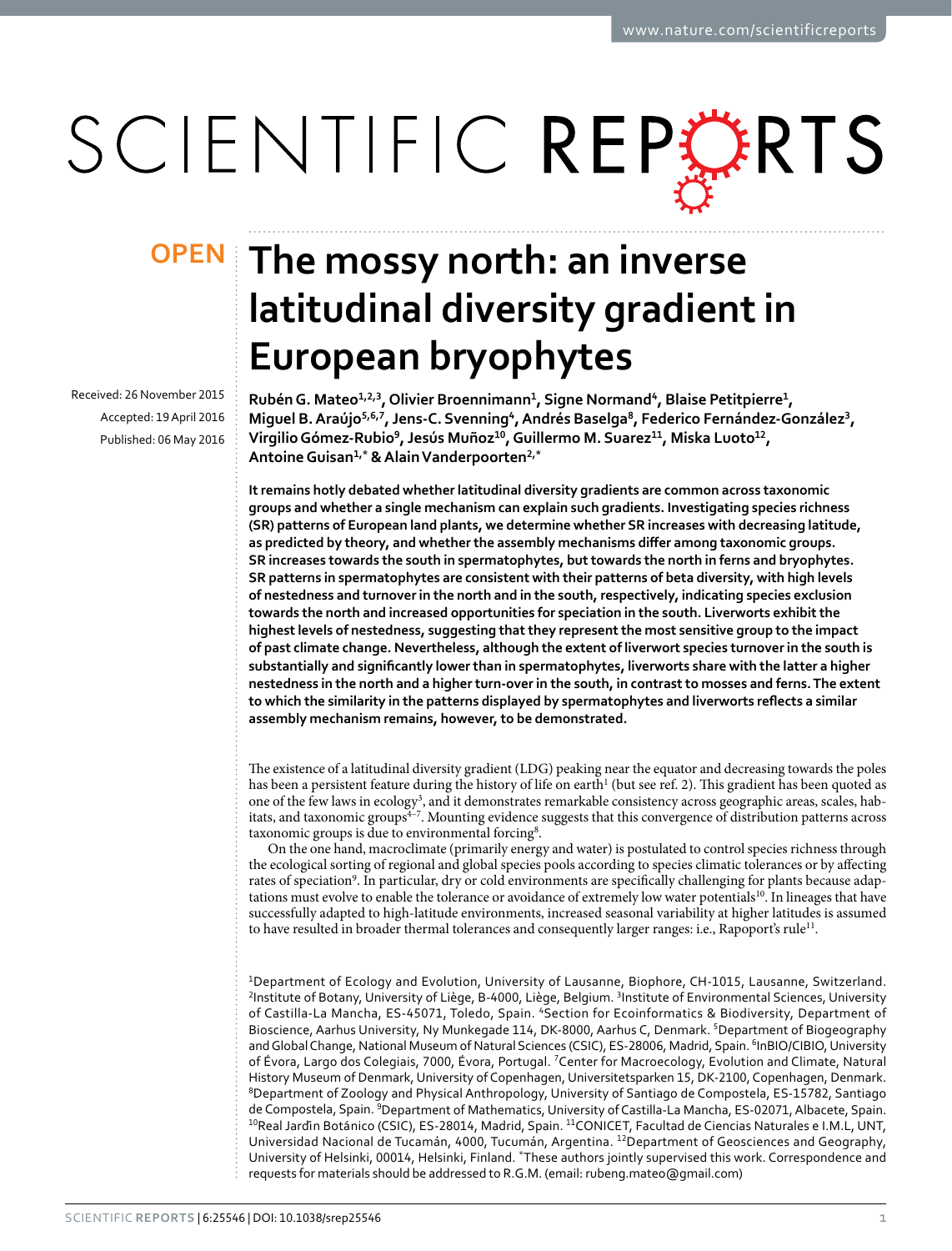# SCIENTIFIC REPERTS

Received: 26 November 2015 accepted: 19 April 2016 Published: 06 May 2016

## **OPEN** The mossy north: an inverse **latitudinal diversity gradient in European bryophytes**

**RubénG. Mateo<sup>1</sup>,2,<sup>3</sup>, Olivier Broennimann<sup>1</sup>, Signe Normand<sup>4</sup>, Blaise Petitpierre<sup>1</sup>, Miguel B.Araújo<sup>5</sup>,6,<sup>7</sup>, Jens-C. Svenning<sup>4</sup>, Andrés Baselga<sup>8</sup>, Federico Fernández-González<sup>3</sup>, VirgilioGómez-Rubio<sup>9</sup>, Jesús Muñoz<sup>10</sup>, Guillermo M. Suarez<sup>11</sup>, Miska Luoto<sup>12</sup>, AntoineGuisan<sup>1</sup>,\* & AlainVanderpoorten2,\***

**It remains hotly debated whether latitudinal diversity gradients are common across taxonomic groups and whether a single mechanism can explain such gradients. Investigating species richness (SR) patterns of European land plants, we determine whether SR increases with decreasing latitude, as predicted by theory, and whether the assembly mechanisms differ among taxonomic groups. SR increases towards the south in spermatophytes, but towards the north in ferns and bryophytes. SR patterns in spermatophytes are consistent with their patterns of beta diversity, with high levels of nestedness and turnover in the north and in the south, respectively, indicating species exclusion towards the north and increased opportunities for speciation in the south. Liverworts exhibit the highest levels of nestedness, suggesting that they represent the most sensitive group to the impact of past climate change. Nevertheless, although the extent of liverwort species turnover in the south is substantially and significantly lower than in spermatophytes, liverworts share with the latter a higher nestedness in the north and a higher turn-over in the south, in contrast to mosses and ferns. The extent to which the similarity in the patterns displayed by spermatophytes and liverworts reflects a similar assembly mechanism remains, however, to be demonstrated.**

The existence of a latitudinal diversity gradient (LDG) peaking near the equator and decreasing towards the poles has been a persistent feature during the history of life on earth<sup>[1](#page-6-0)</sup> (but see ref. [2\)](#page-6-1). This gradient has been quoted as one of the few laws in ecology<sup>[3](#page-6-2)</sup>, and it demonstrates remarkable consistency across geographic areas, scales, habitats, and taxonomic groups<sup>4-7</sup>. Mounting evidence suggests that this convergence of distribution patterns across taxonomic groups is due to environmental forcing<sup>8</sup>.

On the one hand, macroclimate (primarily energy and water) is postulated to control species richness through the ecological sorting of regional and global species pools according to species climatic tolerances or by affecting rates of speciation<sup>9</sup>. In particular, dry or cold environments are specifically challenging for plants because adaptations must evolve to enable the tolerance or avoidance of extremely low water potentials[10](#page-6-6). In lineages that have successfully adapted to high-latitude environments, increased seasonal variability at higher latitudes is assumed to have resulted in broader thermal tolerances and consequently larger ranges: i.e., Rapoport's rule<sup>11</sup>.

1Department of Ecology and Evolution, University of Lausanne, Biophore, CH-1015, Lausanne, Switzerland. <sup>2</sup>Institute of Botany, University of Liège, B-4000, Liège, Belgium. <sup>3</sup>Institute of Environmental Sciences, University of Castilla-La Mancha, ES-45071, Toledo, Spain. 4Section for Ecoinformatics & Biodiversity, Department of Bioscience, Aarhus University, Ny Munkegade 114, DK-8000, Aarhus C, Denmark. 5 Department of Biogeography and Global Change, National Museum of Natural Sciences (CSIC), ES-28006, Madrid, Spain. <sup>6</sup>InBIO/CIBIO, University of Évora, Largo dos Colegiais, 7000, Évora, Portugal. 7Center for Macroecology, Evolution and Climate, Natural History Museum of Denmark, University of Copenhagen, Universitetsparken 15, DK-2100, Copenhagen, Denmark. <sup>8</sup>Department of Zoology and Physical Anthropology, University of Santiago de Compostela, ES-15782, Santiago de Compostela, Spain. <sup>9</sup>Department of Mathematics, University of Castilla-La Mancha, ES-02071, Albacete, Spain.<br><sup>10</sup>Real Jardin Botánico (CSIC), ES-28014, Madrid, Spain. <sup>11</sup>CONICET, Facultad de Ciencias Naturales e I.M.L Universidad Nacional de Tucamán, 4000, Tucumán, Argentina. 12Department of Geosciences and Geography, University of Helsinki, 00014, Helsinki, Finland. \*These authors jointly supervised this work. Correspondence and requests for materials should be addressed to R.G.M. (email: [rubeng.mateo@gmail.com](mailto:rubeng.mateo@gmail.com))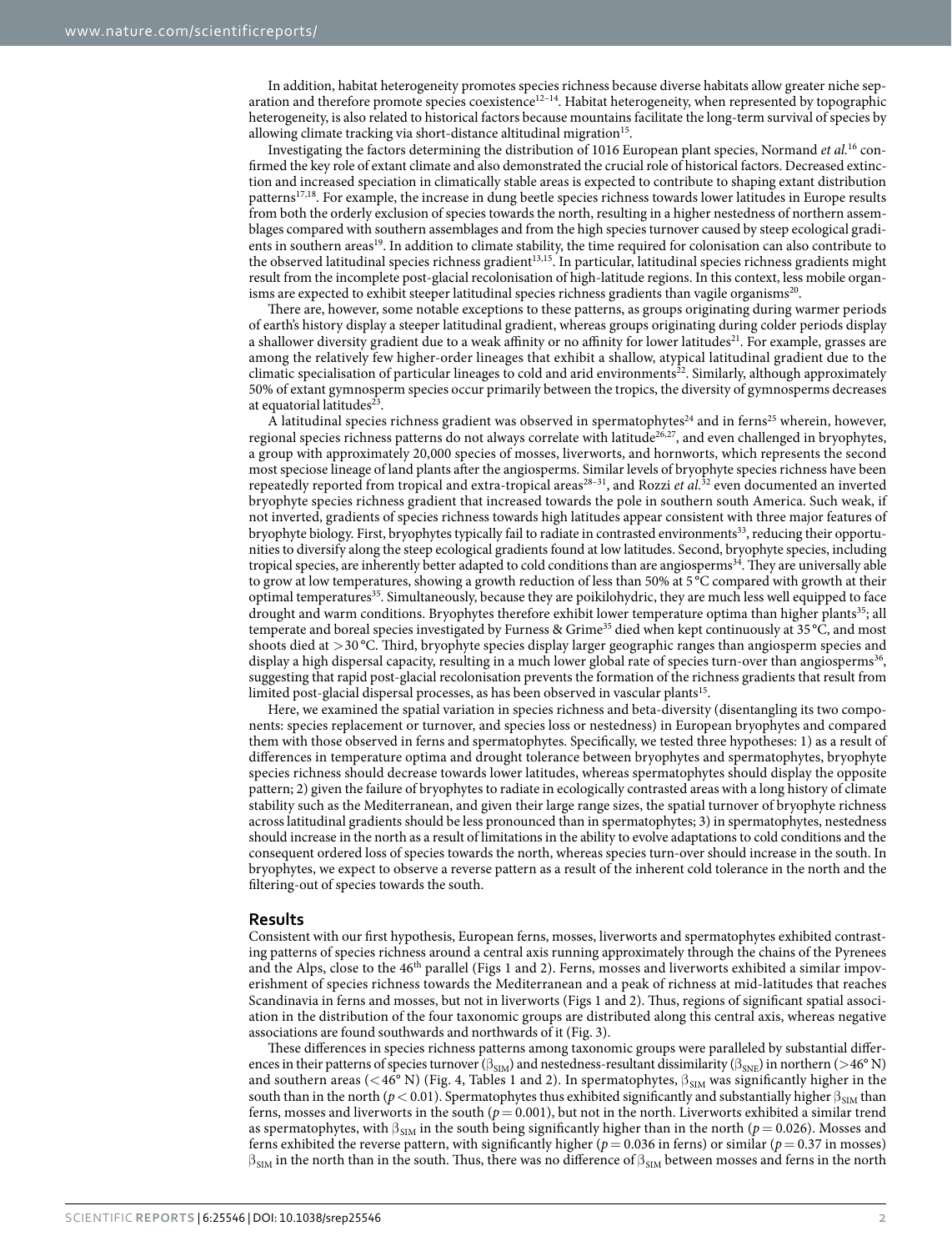In addition, habitat heterogeneity promotes species richness because diverse habitats allow greater niche sep-aration and therefore promote species coexistence<sup>[12–14](#page-6-8)</sup>. Habitat heterogeneity, when represented by topographic heterogeneity, is also related to historical factors because mountains facilitate the long-term survival of species by allowing climate tracking via short-distance altitudinal migration<sup>15</sup>.

Investigating the factors determining the distribution of 1016 European plant species, Normand *et al.*[16](#page-7-0) confirmed the key role of extant climate and also demonstrated the crucial role of historical factors. Decreased extinction and increased speciation in climatically stable areas is expected to contribute to shaping extant distribution pattern[s17,](#page-7-1)[18.](#page-7-2) For example, the increase in dung beetle species richness towards lower latitudes in Europe results from both the orderly exclusion of species towards the north, resulting in a higher nestedness of northern assemblages compared with southern assemblages and from the high species turnover caused by steep ecological gradients in southern areas[19.](#page-7-3) In addition to climate stability, the time required for colonisation can also contribute to the observed latitudinal species richness gradient<sup>[13,](#page-6-10)15</sup>. In particular, latitudinal species richness gradients might result from the incomplete post-glacial recolonisation of high-latitude regions. In this context, less mobile organisms are expected to exhibit steeper latitudinal species richness gradients than vagile organisms<sup>20</sup>.

There are, however, some notable exceptions to these patterns, as groups originating during warmer periods of earth's history display a steeper latitudinal gradient, whereas groups originating during colder periods display a shallower diversity gradient due to a weak affinity or no affinity for lower latitudes<sup>21</sup>. For example, grasses are among the relatively few higher-order lineages that exhibit a shallow, atypical latitudinal gradient due to the climatic specialisation of particular lineages to cold and arid environments $^{22}$ . Similarly, although approximately 50% of extant gymnosperm species occur primarily between the tropics, the diversity of gymnosperms decreases at equatorial latitudes $^{23}$  $^{23}$  $^{23}$ .

A latitudinal species richness gradient was observed in spermatophytes<sup>24</sup> and in ferns<sup>25</sup> wherein, however, regional species richness patterns do not always correlate with latitude<sup>26,27</sup>, and even challenged in bryophytes, a group with approximately 20,000 species of mosses, liverworts, and hornworts, which represents the second most speciose lineage of land plants after the angiosperms. Similar levels of bryophyte species richness have been repeatedly reported from tropical and extra-tropical areas<sup>28-31</sup>, and Rozzi *et al.*<sup>32</sup> even documented an inverted bryophyte species richness gradient that increased towards the pole in southern south America. Such weak, if not inverted, gradients of species richness towards high latitudes appear consistent with three major features of bryophyte biology. First, bryophytes typically fail to radiate in contrasted environments<sup>33</sup>, reducing their opportunities to diversify along the steep ecological gradients found at low latitudes. Second, bryophyte species, including tropical species, are inherently better adapted to cold conditions than are angiosperms<sup>34</sup>. They are universally able to grow at low temperatures, showing a growth reduction of less than 50% at 5 °C compared with growth at their optimal temperatures<sup>[35](#page-7-16)</sup>. Simultaneously, because they are poikilohydric, they are much less well equipped to face drought and warm conditions. Bryophytes therefore exhibit lower temperature optima than higher plants<sup>35</sup>; all temperate and boreal species investigated by Furness & Grim[e35](#page-7-16) died when kept continuously at 35 °C, and most shoots died at >30 °C. Third, bryophyte species display larger geographic ranges than angiosperm species and display a high dispersal capacity, resulting in a much lower global rate of species turn-over than angiosperms<sup>36</sup>, suggesting that rapid post-glacial recolonisation prevents the formation of the richness gradients that result from limited post-glacial dispersal processes, as has been observed in vascular plants<sup>15</sup>.

Here, we examined the spatial variation in species richness and beta-diversity (disentangling its two components: species replacement or turnover, and species loss or nestedness) in European bryophytes and compared them with those observed in ferns and spermatophytes. Specifically, we tested three hypotheses: 1) as a result of differences in temperature optima and drought tolerance between bryophytes and spermatophytes, bryophyte species richness should decrease towards lower latitudes, whereas spermatophytes should display the opposite pattern; 2) given the failure of bryophytes to radiate in ecologically contrasted areas with a long history of climate stability such as the Mediterranean, and given their large range sizes, the spatial turnover of bryophyte richness across latitudinal gradients should be less pronounced than in spermatophytes; 3) in spermatophytes, nestedness should increase in the north as a result of limitations in the ability to evolve adaptations to cold conditions and the consequent ordered loss of species towards the north, whereas species turn-over should increase in the south. In bryophytes, we expect to observe a reverse pattern as a result of the inherent cold tolerance in the north and the filtering-out of species towards the south.

#### **Results**

Consistent with our first hypothesis, European ferns, mosses, liverworts and spermatophytes exhibited contrasting patterns of species richness around a central axis running approximately through the chains of the Pyrenees and the Alps, close to the 46<sup>th</sup> parallel ([Figs 1](#page-2-0) and [2\)](#page-2-1). Ferns, mosses and liverworts exhibited a similar impoverishment of species richness towards the Mediterranean and a peak of richness at mid-latitudes that reaches Scandinavia in ferns and mosses, but not in liverworts [\(Figs 1](#page-2-0) and [2](#page-2-1)). Thus, regions of significant spatial association in the distribution of the four taxonomic groups are distributed along this central axis, whereas negative associations are found southwards and northwards of it [\(Fig. 3\)](#page-3-0).

These differences in species richness patterns among taxonomic groups were paralleled by substantial differences in their patterns of species turnover ( $\beta_{\rm SIM}$ ) and nestedness-resultant dissimilarity ( $\beta_{\rm SNE}$ ) in northern ( $>$ 46° N) and southern areas (<46° N) [\(Fig. 4](#page-3-1), [Tables 1](#page-4-0) and [2\)](#page-4-1). In spermatophytes,  $\beta_{SIM}$  was significantly higher in the south than in the north ( $p < 0.01$ ). Spermatophytes thus exhibited significantly and substantially higher  $\beta_{\rm SM}$  than ferns, mosses and liverworts in the south  $(p = 0.001)$ , but not in the north. Liverworts exhibited a similar trend as spermatophytes, with  $\beta_{\text{SIM}}$  in the south being significantly higher than in the north (*p* = 0.026). Mosses and ferns exhibited the reverse pattern, with significantly higher ( $p = 0.036$  in ferns) or similar ( $p = 0.37$  in mosses)  $\beta_{SIM}$  in the north than in the south. Thus, there was no difference of  $\beta_{SIM}$  between mosses and ferns in the north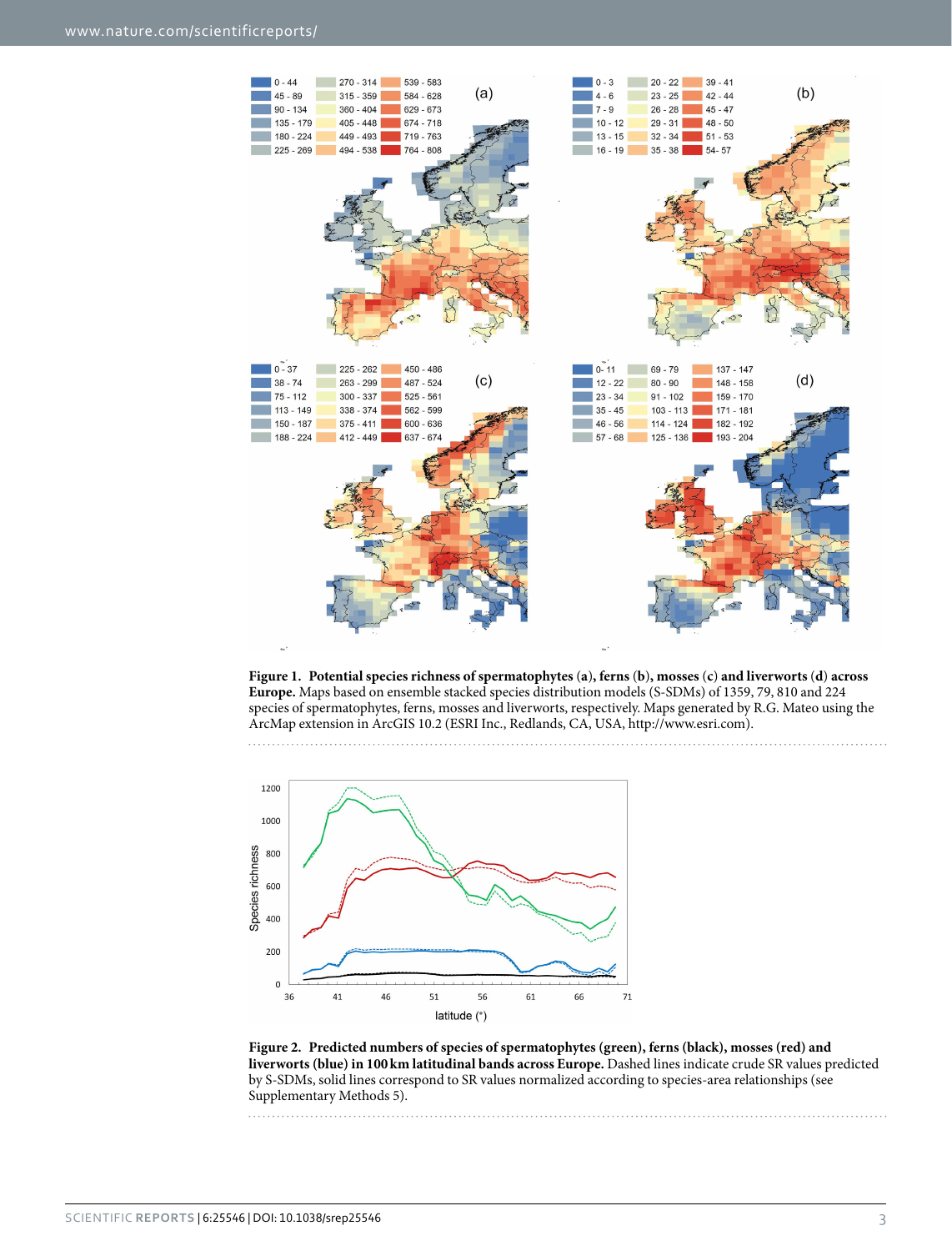

<span id="page-2-0"></span>**Figure 1. Potential species richness of spermatophytes** (**a**)**, ferns** (**b**)**, mosses** (**c**) **and liverworts** (**d**) **across Europe.** Maps based on ensemble stacked species distribution models (S-SDMs) of 1359, 79, 810 and 224 species of spermatophytes, ferns, mosses and liverworts, respectively. Maps generated by R.G. Mateo using the ArcMap extension in ArcGIS 10.2 (ESRI Inc., Redlands, CA, USA,<http://www.esri.com>). 



<span id="page-2-1"></span>**Figure 2. Predicted numbers of species of spermatophytes (green), ferns (black), mosses (red) and liverworts (blue) in 100km latitudinal bands across Europe.** Dashed lines indicate crude SR values predicted by S-SDMs, solid lines correspond to SR values normalized according to species-area relationships (see Supplementary Methods 5).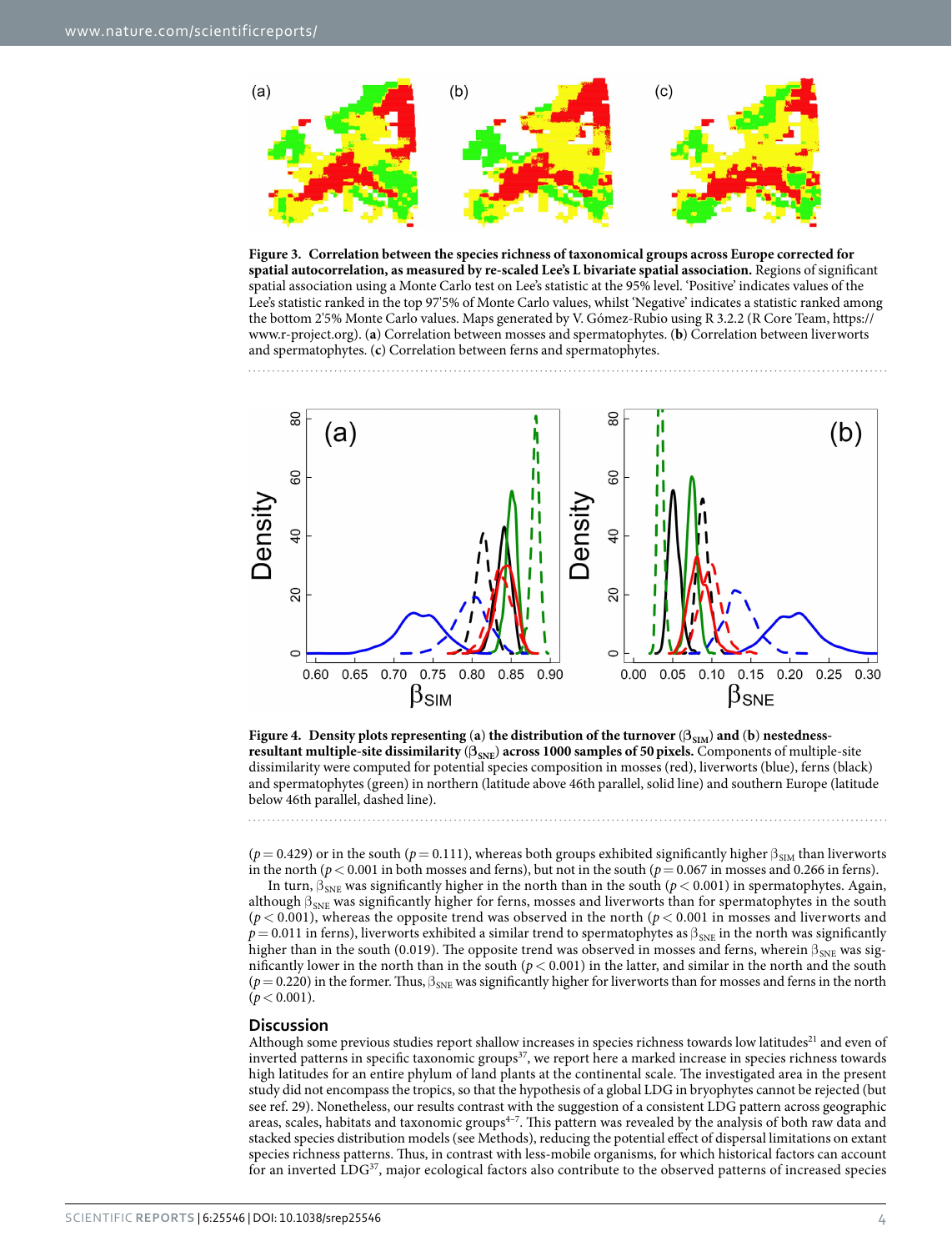

<span id="page-3-0"></span>**Figure 3. Correlation between the species richness of taxonomical groups across Europe corrected for spatial autocorrelation, as measured by re-scaled Lee's L bivariate spatial association.** Regions of significant spatial association using a Monte Carlo test on Lee's statistic at the 95% level. 'Positive' indicates values of the Lee's statistic ranked in the top 97'5% of Monte Carlo values, whilst 'Negative' indicates a statistic ranked among the bottom 2'5% Monte Carlo values. Maps generated by V. Gómez-Rubio using R 3.2.2 (R Core Team, [https://](https://www.r-project.org) [www.r-project.org](https://www.r-project.org)). (**a**) Correlation between mosses and spermatophytes. (**b**) Correlation between liverworts and spermatophytes. (**c**) Correlation between ferns and spermatophytes.



<span id="page-3-1"></span>

 $(p=0.429)$  or in the south ( $p=0.111$ ), whereas both groups exhibited significantly higher  $\beta_{\text{SIM}}$  than liverworts in the north ( $p < 0.001$  in both mosses and ferns), but not in the south ( $p = 0.067$  in mosses and 0.266 in ferns).

In turn,  $β<sub>SNE</sub>$  was significantly higher in the north than in the south (*p* < 0.001) in spermatophytes. Again, although  $\beta_{SNE}$  was significantly higher for ferns, mosses and liverworts than for spermatophytes in the south  $(p < 0.001)$ , whereas the opposite trend was observed in the north  $\left(p < 0.001\right)$  in mosses and liverworts and  $p=0.011$  in ferns), liverworts exhibited a similar trend to spermatophytes as  $\beta_{SNE}$  in the north was significantly higher than in the south (0.019). The opposite trend was observed in mosses and ferns, wherein  $\beta_{SNE}$  was significantly lower in the north than in the south ( $p < 0.001$ ) in the latter, and similar in the north and the south  $(p= 0.220)$  in the former. Thus,  $\beta_{SNE}$  was significantly higher for liverworts than for mosses and ferns in the north  $(p < 0.001)$ .

#### **Discussion**

Although some previous studies report shallow increases in species richness towards low latitudes<sup>[21](#page-7-5)</sup> and even of inverted patterns in specific taxonomic groups<sup>37</sup>, we report here a marked increase in species richness towards high latitudes for an entire phylum of land plants at the continental scale. The investigated area in the present study did not encompass the tropics, so that the hypothesis of a global LDG in bryophytes cannot be rejected (but see ref. [29](#page-7-19)). Nonetheless, our results contrast with the suggestion of a consistent LDG pattern across geographic areas, scales, habitats and taxonomic groups<sup>4-7</sup>. This pattern was revealed by the analysis of both raw data and stacked species distribution models (see Methods), reducing the potential effect of dispersal limitations on extant species richness patterns. Thus, in contrast with less-mobile organisms, for which historical factors can account for an inverted LDG<sup>37</sup>, major ecological factors also contribute to the observed patterns of increased species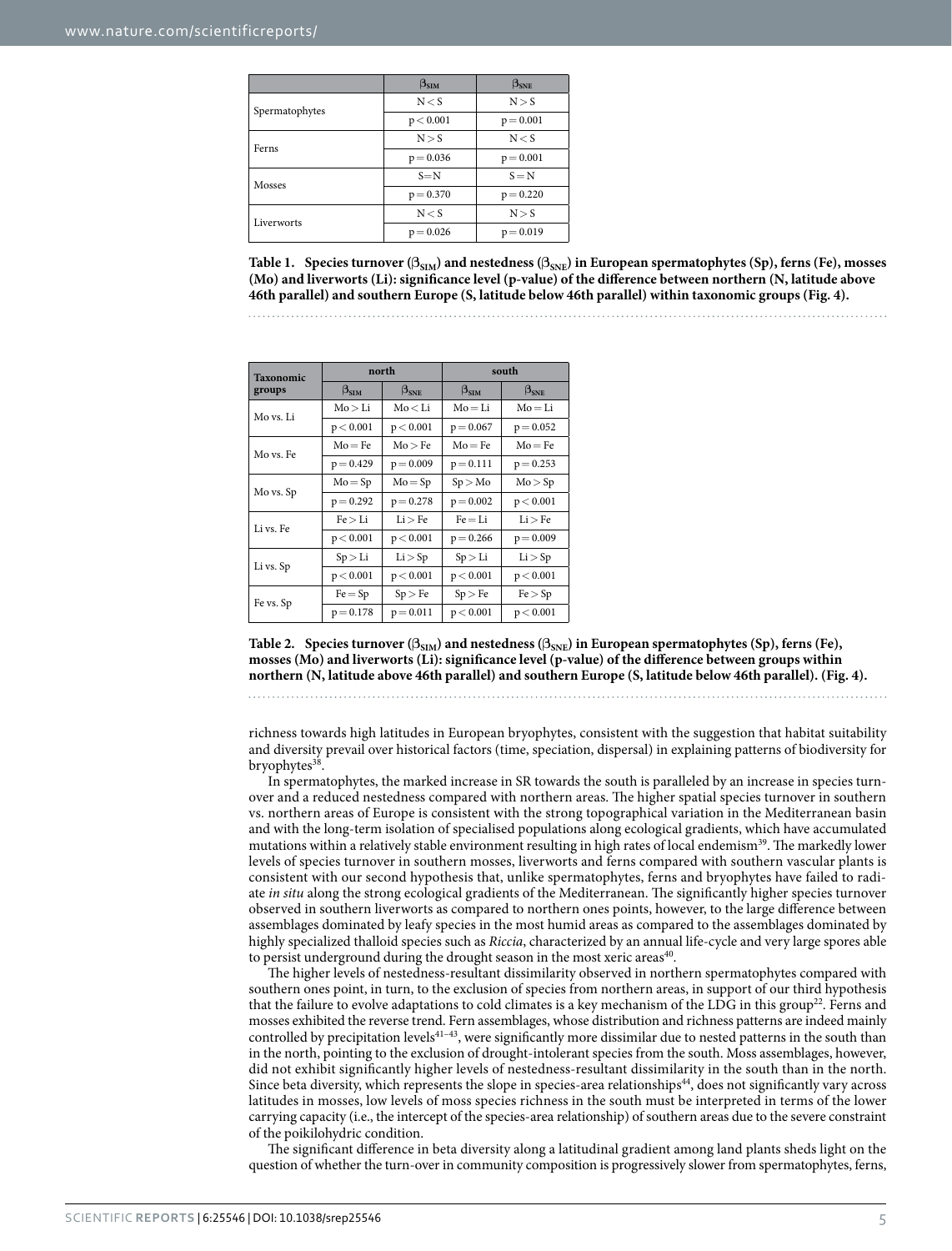<span id="page-4-0"></span>

|                | $\beta_{\rm SIM}$ | $\beta_{\rm SNE}$ |
|----------------|-------------------|-------------------|
| Spermatophytes | N < S             | N > S             |
|                | p < 0.001         | $p = 0.001$       |
| Ferns          | N > S             | N < S             |
|                | $p = 0.036$       | $p = 0.001$       |
| Mosses         | $S = N$           | $S = N$           |
|                | $p = 0.370$       | $p = 0.220$       |
| Liverworts     | N < S             | N > S             |
|                | $p = 0.026$       | $p = 0.019$       |

**Table 1. Species turnover (βSIM) and nestedness (βSNE) in European spermatophytes (Sp), ferns (Fe), mosses (Mo) and liverworts (Li): significance level (p-value) of the difference between northern (N, latitude above 46th parallel) and southern Europe (S, latitude below 46th parallel) within taxonomic groups ([Fig. 4](#page-3-1)).**

<span id="page-4-1"></span>

| <b>Taxonomic</b> | north         |                   | south                |               |
|------------------|---------------|-------------------|----------------------|---------------|
| groups           | $\beta_{SIM}$ | $\beta_{\rm SNE}$ | $\beta_{\text{SIM}}$ | $\beta_{SNE}$ |
| Mo vs. Li        | Mo > Li       | Mo < Li           | $Mo = Li$            | $Mo = Li$     |
|                  | p < 0.001     | p < 0.001         | $p = 0.067$          | $p = 0.052$   |
| Mo vs. Fe        | $Mo = Fe$     | Mo > Fe           | $Mo = Fe$            | $Mo = Fe$     |
|                  | $p = 0.429$   | $p = 0.009$       | $p = 0.111$          | $p = 0.253$   |
| Mo vs. Sp        | $Mo = Sp$     | $Mo = Sp$         | Sp > Mo              | Mo > Sp       |
|                  | $p = 0.292$   | $p = 0.278$       | $p = 0.002$          | p < 0.001     |
| Li vs. Fe        | Fe > Li       | Li > Fe           | $Fe = Li$            | Li > Fe       |
|                  | p < 0.001     | p < 0.001         | $p = 0.266$          | $p = 0.009$   |
| Li vs. Sp        | Sp > Li       | Li > Sp           | Sp > Li              | Li > Sp       |
|                  | p < 0.001     | p < 0.001         | p < 0.001            | p < 0.001     |
| Fe vs. Sp        | $Fe = Sp$     | Sp > Fe           | Sp > Fe              | Fe > Sp       |
|                  | $p = 0.178$   | $p = 0.011$       | p < 0.001            | p < 0.001     |

Table 2. Species turnover ( $\beta_{\text{SIM}}$ ) and nestedness ( $\beta_{\text{SNE}}$ ) in European spermatophytes (Sp), ferns (Fe), **mosses (Mo) and liverworts (Li): significance level (p-value) of the difference between groups within northern (N, latitude above 46th parallel) and southern Europe (S, latitude below 46th parallel). ([Fig. 4](#page-3-1)).**

richness towards high latitudes in European bryophytes, consistent with the suggestion that habitat suitability and diversity prevail over historical factors (time, speciation, dispersal) in explaining patterns of biodiversity for bryophytes<sup>38</sup>

In spermatophytes, the marked increase in SR towards the south is paralleled by an increase in species turnover and a reduced nestedness compared with northern areas. The higher spatial species turnover in southern vs. northern areas of Europe is consistent with the strong topographical variation in the Mediterranean basin and with the long-term isolation of specialised populations along ecological gradients, which have accumulated mutations within a relatively stable environment resulting in high rates of local endemism<sup>39</sup>. The markedly lower levels of species turnover in southern mosses, liverworts and ferns compared with southern vascular plants is consistent with our second hypothesis that, unlike spermatophytes, ferns and bryophytes have failed to radiate *in situ* along the strong ecological gradients of the Mediterranean. The significantly higher species turnover observed in southern liverworts as compared to northern ones points, however, to the large difference between assemblages dominated by leafy species in the most humid areas as compared to the assemblages dominated by highly specialized thalloid species such as *Riccia*, characterized by an annual life-cycle and very large spores able to persist underground during the drought season in the most xeric areas<sup>[40](#page-7-22)</sup>.

The higher levels of nestedness-resultant dissimilarity observed in northern spermatophytes compared with southern ones point, in turn, to the exclusion of species from northern areas, in support of our third hypothesis that the failure to evolve adaptations to cold climates is a key mechanism of the LDG in this group<sup>22</sup>. Ferns and mosses exhibited the reverse trend. Fern assemblages, whose distribution and richness patterns are indeed mainly controlled by precipitation levels<sup>41-43</sup>, were significantly more dissimilar due to nested patterns in the south than in the north, pointing to the exclusion of drought-intolerant species from the south. Moss assemblages, however, did not exhibit significantly higher levels of nestedness-resultant dissimilarity in the south than in the north. Since beta diversity, which represents the slope in species-area relationships<sup>44</sup>, does not significantly vary across latitudes in mosses, low levels of moss species richness in the south must be interpreted in terms of the lower carrying capacity (i.e., the intercept of the species-area relationship) of southern areas due to the severe constraint of the poikilohydric condition.

The significant difference in beta diversity along a latitudinal gradient among land plants sheds light on the question of whether the turn-over in community composition is progressively slower from spermatophytes, ferns,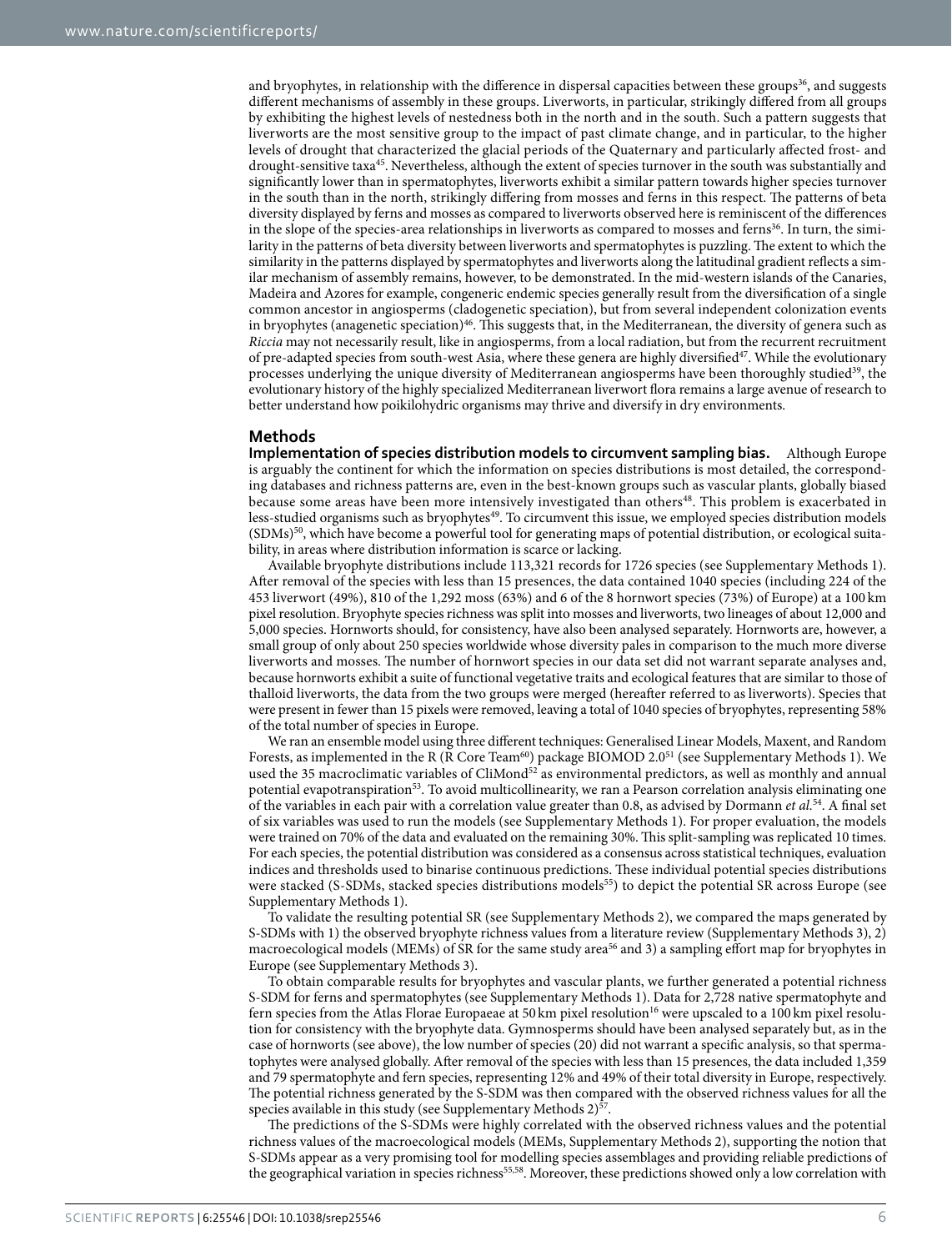and bryophytes, in relationship with the difference in dispersal capacities between these groups<sup>36</sup>, and suggests different mechanisms of assembly in these groups. Liverworts, in particular, strikingly differed from all groups by exhibiting the highest levels of nestedness both in the north and in the south. Such a pattern suggests that liverworts are the most sensitive group to the impact of past climate change, and in particular, to the higher levels of drought that characterized the glacial periods of the Quaternary and particularly affected frost- and drought-sensitive taxa<sup>45</sup>. Nevertheless, although the extent of species turnover in the south was substantially and significantly lower than in spermatophytes, liverworts exhibit a similar pattern towards higher species turnover in the south than in the north, strikingly differing from mosses and ferns in this respect. The patterns of beta diversity displayed by ferns and mosses as compared to liverworts observed here is reminiscent of the differences in the slope of the species-area relationships in liverworts as compared to mosses and ferns<sup>[36](#page-7-17)</sup>. In turn, the similarity in the patterns of beta diversity between liverworts and spermatophytes is puzzling. The extent to which the similarity in the patterns displayed by spermatophytes and liverworts along the latitudinal gradient reflects a similar mechanism of assembly remains, however, to be demonstrated. In the mid-western islands of the Canaries, Madeira and Azores for example, congeneric endemic species generally result from the diversification of a single common ancestor in angiosperms (cladogenetic speciation), but from several independent colonization events in bryophytes (anagenetic speciation)<sup>46</sup>. This suggests that, in the Mediterranean, the diversity of genera such as *Riccia* may not necessarily result, like in angiosperms, from a local radiation, but from the recurrent recruitment of pre-adapted species from south-west Asia, where these genera are highly diversified<sup>47</sup>. While the evolutionary processes underlying the unique diversity of Mediterranean angiosperms have been thoroughly studied<sup>39</sup>, the evolutionary history of the highly specialized Mediterranean liverwort flora remains a large avenue of research to better understand how poikilohydric organisms may thrive and diversify in dry environments.

#### **Methods**

**Implementation of species distribution models to circumvent sampling bias.** Although Europe is arguably the continent for which the information on species distributions is most detailed, the corresponding databases and richness patterns are, even in the best-known groups such as vascular plants, globally biased because some areas have been more intensively investigated than others<sup>48</sup>. This problem is exacerbated in less-studied organisms such as bryophytes<sup>49</sup>. To circumvent this issue, we employed species distribution models  $(SDMs)^{50}$ , which have become a powerful tool for generating maps of potential distribution, or ecological suitability, in areas where distribution information is scarce or lacking.

Available bryophyte distributions include 113,321 records for 1726 species (see Supplementary Methods 1). After removal of the species with less than 15 presences, the data contained 1040 species (including 224 of the 453 liverwort (49%), 810 of the 1,292 moss (63%) and 6 of the 8 hornwort species (73%) of Europe) at a 100 km pixel resolution. Bryophyte species richness was split into mosses and liverworts, two lineages of about 12,000 and 5,000 species. Hornworts should, for consistency, have also been analysed separately. Hornworts are, however, a small group of only about 250 species worldwide whose diversity pales in comparison to the much more diverse liverworts and mosses. The number of hornwort species in our data set did not warrant separate analyses and, because hornworts exhibit a suite of functional vegetative traits and ecological features that are similar to those of thalloid liverworts, the data from the two groups were merged (hereafter referred to as liverworts). Species that were present in fewer than 15 pixels were removed, leaving a total of 1040 species of bryophytes, representing 58% of the total number of species in Europe.

We ran an ensemble model using three different techniques: Generalised Linear Models, Maxent, and Random Forests, as implemented in the R (R Core Team<sup>[60](#page-8-0)</sup>) package BIOMOD 2.0<sup>51</sup> (see Supplementary Methods 1). We used the 35 macroclimatic variables of CliMond<sup>[52](#page-7-32)</sup> as environmental predictors, as well as monthly and annual potential evapotranspiration<sup>53</sup>. To avoid multicollinearity, we ran a Pearson correlation analysis eliminating one of the variables in each pair with a correlation value greater than 0.8, as advised by Dormann *et al.*[54](#page-7-34). A final set of six variables was used to run the models (see Supplementary Methods 1). For proper evaluation, the models were trained on 70% of the data and evaluated on the remaining 30%. This split-sampling was replicated 10 times. For each species, the potential distribution was considered as a consensus across statistical techniques, evaluation indices and thresholds used to binarise continuous predictions. These individual potential species distributions were stacked (S-SDMs, stacked species distributions models<sup>55</sup>) to depict the potential SR across Europe (see Supplementary Methods 1).

To validate the resulting potential SR (see Supplementary Methods 2), we compared the maps generated by S-SDMs with 1) the observed bryophyte richness values from a literature review (Supplementary Methods 3), 2) macroecological models (MEMs) of SR for the same study area<sup>[56](#page-7-36)</sup> and 3) a sampling effort map for bryophytes in Europe (see Supplementary Methods 3).

To obtain comparable results for bryophytes and vascular plants, we further generated a potential richness S-SDM for ferns and spermatophytes (see Supplementary Methods 1). Data for 2,728 native spermatophyte and fern species from the Atlas Florae Europaeae at 50 km pixel resolution<sup>16</sup> were upscaled to a 100 km pixel resolution for consistency with the bryophyte data. Gymnosperms should have been analysed separately but, as in the case of hornworts (see above), the low number of species (20) did not warrant a specific analysis, so that spermatophytes were analysed globally. After removal of the species with less than 15 presences, the data included 1,359 and 79 spermatophyte and fern species, representing 12% and 49% of their total diversity in Europe, respectively. The potential richness generated by the S-SDM was then compared with the observed richness values for all the species available in this study (see Supplementary Methods 2)<sup>[57](#page-7-37)</sup>.

The predictions of the S-SDMs were highly correlated with the observed richness values and the potential richness values of the macroecological models (MEMs, Supplementary Methods 2), supporting the notion that S-SDMs appear as a very promising tool for modelling species assemblages and providing reliable predictions of the geographical variation in species richness<sup>55,58</sup>. Moreover, these predictions showed only a low correlation with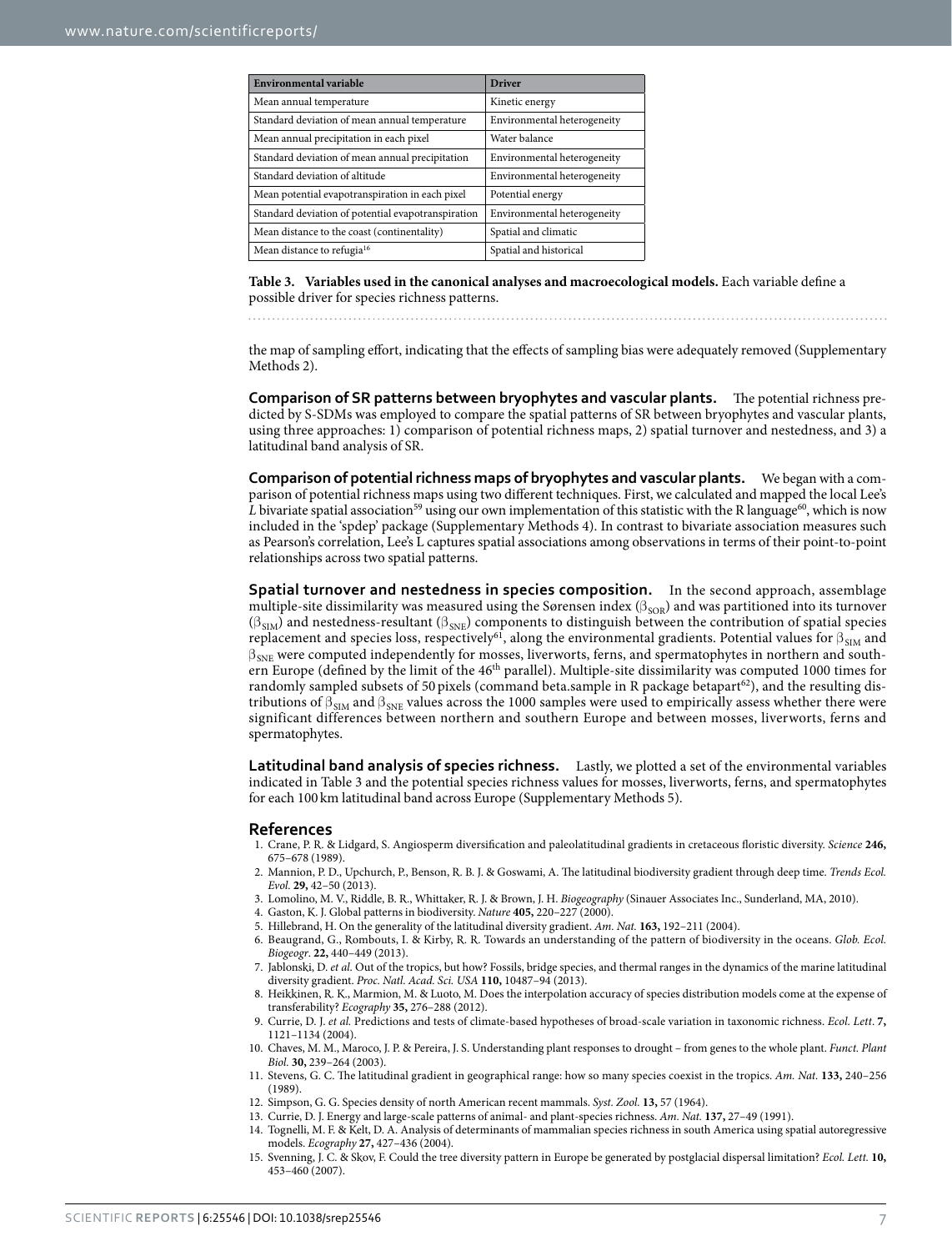<span id="page-6-11"></span>

| Environmental variable                             | <b>Driver</b>               |  |
|----------------------------------------------------|-----------------------------|--|
| Mean annual temperature                            | Kinetic energy              |  |
| Standard deviation of mean annual temperature      | Environmental heterogeneity |  |
| Mean annual precipitation in each pixel            | Water balance               |  |
| Standard deviation of mean annual precipitation    | Environmental heterogeneity |  |
| Standard deviation of altitude                     | Environmental heterogeneity |  |
| Mean potential evapotranspiration in each pixel    | Potential energy            |  |
| Standard deviation of potential evapotranspiration | Environmental heterogeneity |  |
| Mean distance to the coast (continentality)        | Spatial and climatic        |  |
| Mean distance to refugia <sup>16</sup>             | Spatial and historical      |  |

**Table 3. Variables used in the canonical analyses and macroecological models.** Each variable define a possible driver for species richness patterns.

the map of sampling effort, indicating that the effects of sampling bias were adequately removed (Supplementary Methods 2).

**Comparison of SR patterns between bryophytes and vascular plants.** The potential richness predicted by S-SDMs was employed to compare the spatial patterns of SR between bryophytes and vascular plants, using three approaches: 1) comparison of potential richness maps, 2) spatial turnover and nestedness, and 3) a latitudinal band analysis of SR.

**Comparison of potential richness maps of bryophytes and vascular plants.** We began with a comparison of potential richness maps using two different techniques. First, we calculated and mapped the local Lee's *L* bivariate spatial association<sup>[59](#page-7-39)</sup> using our own implementation of this statistic with the R language<sup>60</sup>, which is now included in the 'spdep' package (Supplementary Methods 4). In contrast to bivariate association measures such as Pearson's correlation, Lee's L captures spatial associations among observations in terms of their point-to-point relationships across two spatial patterns.

**Spatial turnover and nestedness in species composition.** In the second approach, assemblage multiple-site dissimilarity was measured using the Sørensen index ( $\beta_{\text{SOR}}$ ) and was partitioned into its turnover  $(\beta_{SIM})$  and nestedness-resultant  $(\beta_{SNE})$  components to distinguish between the contribution of spatial species replacement and species loss, respectively<sup>61</sup>, along the environmental gradients. Potential values for  $\beta_{SIM}$  and  $\beta_{SNE}$  were computed independently for mosses, liverworts, ferns, and spermatophytes in northern and southern Europe (defined by the limit of the 46th parallel). Multiple-site dissimilarity was computed 1000 times for randomly sampled subsets of 50 pixels (command beta.sample in R package betapart<sup>[62](#page-8-2)</sup>), and the resulting distributions of  $\beta_{\text{SIM}}$  and  $\beta_{\text{SNE}}$  values across the 1000 samples were used to empirically assess whether there were significant differences between northern and southern Europe and between mosses, liverworts, ferns and spermatophytes.

**Latitudinal band analysis of species richness.** Lastly, we plotted a set of the environmental variables indicated in [Table 3](#page-6-11) and the potential species richness values for mosses, liverworts, ferns, and spermatophytes for each 100 km latitudinal band across Europe (Supplementary Methods 5).

#### **References**

- <span id="page-6-0"></span>1. Crane, P. R. & Lidgard, S. Angiosperm diversification and paleolatitudinal gradients in cretaceous floristic diversity. *Science* **246,** 675–678 (1989).
- <span id="page-6-1"></span>2. Mannion, P. D., Upchurch, P., Benson, R. B. J. & Goswami, A. The latitudinal biodiversity gradient through deep time. *Trends Ecol. Evol.* **29,** 42–50 (2013).
- <span id="page-6-2"></span>3. Lomolino, M. V., Riddle, B. R., Whittaker, R. J. & Brown, J. H. *Biogeography* (Sinauer Associates Inc., Sunderland, MA, 2010).
- <span id="page-6-3"></span>4. Gaston, K. J. Global patterns in biodiversity. *Nature* **405,** 220–227 (2000).
- 5. Hillebrand, H. On the generality of the latitudinal diversity gradient. *Am. Nat.* **163,** 192–211 (2004).
- 6. Beaugrand, G., Rombouts, I. & Kirby, R. R. Towards an understanding of the pattern of biodiversity in the oceans. *Glob. Ecol. Biogeogr*. **22,** 440–449 (2013).
- 7. Jablonski, D. *et al.* Out of the tropics, but how? Fossils, bridge species, and thermal ranges in the dynamics of the marine latitudinal diversity gradient. *Proc. Natl. Acad. Sci. USA* **110,** 10487–94 (2013).
- <span id="page-6-4"></span>8. Heikkinen, R. K., Marmion, M. & Luoto, M. Does the interpolation accuracy of species distribution models come at the expense of transferability? *Ecography* **35,** 276–288 (2012).
- <span id="page-6-6"></span><span id="page-6-5"></span>9. Currie, D. J. *et al.* Predictions and tests of climate-based hypotheses of broad-scale variation in taxonomic richness. *Ecol. Lett*. **7,** 1121–1134 (2004).
- 10. Chaves, M. M., Maroco, J. P. & Pereira, J. S. Understanding plant responses to drought from genes to the whole plant. *Funct. Plant Biol.* **30,** 239–264 (2003).
- <span id="page-6-7"></span>11. Stevens, G. C. The latitudinal gradient in geographical range: how so many species coexist in the tropics. *Am. Nat.* **133,** 240–256 (1989).
- <span id="page-6-8"></span>12. Simpson, G. G. Species density of north American recent mammals. *Syst. Zool.* **13,** 57 (1964).
- <span id="page-6-10"></span>13. Currie, D. J. Energy and large-scale patterns of animal- and plant-species richness. *Am. Nat.* **137,** 27–49 (1991). 14. Tognelli, M. F. & Kelt, D. A. Analysis of determinants of mammalian species richness in south America using spatial autoregressive
- models. *Ecography* **27,** 427–436 (2004).
- <span id="page-6-9"></span>15. Svenning, J. C. & Skov, F. Could the tree diversity pattern in Europe be generated by postglacial dispersal limitation? *Ecol. Lett.* **10,** 453–460 (2007).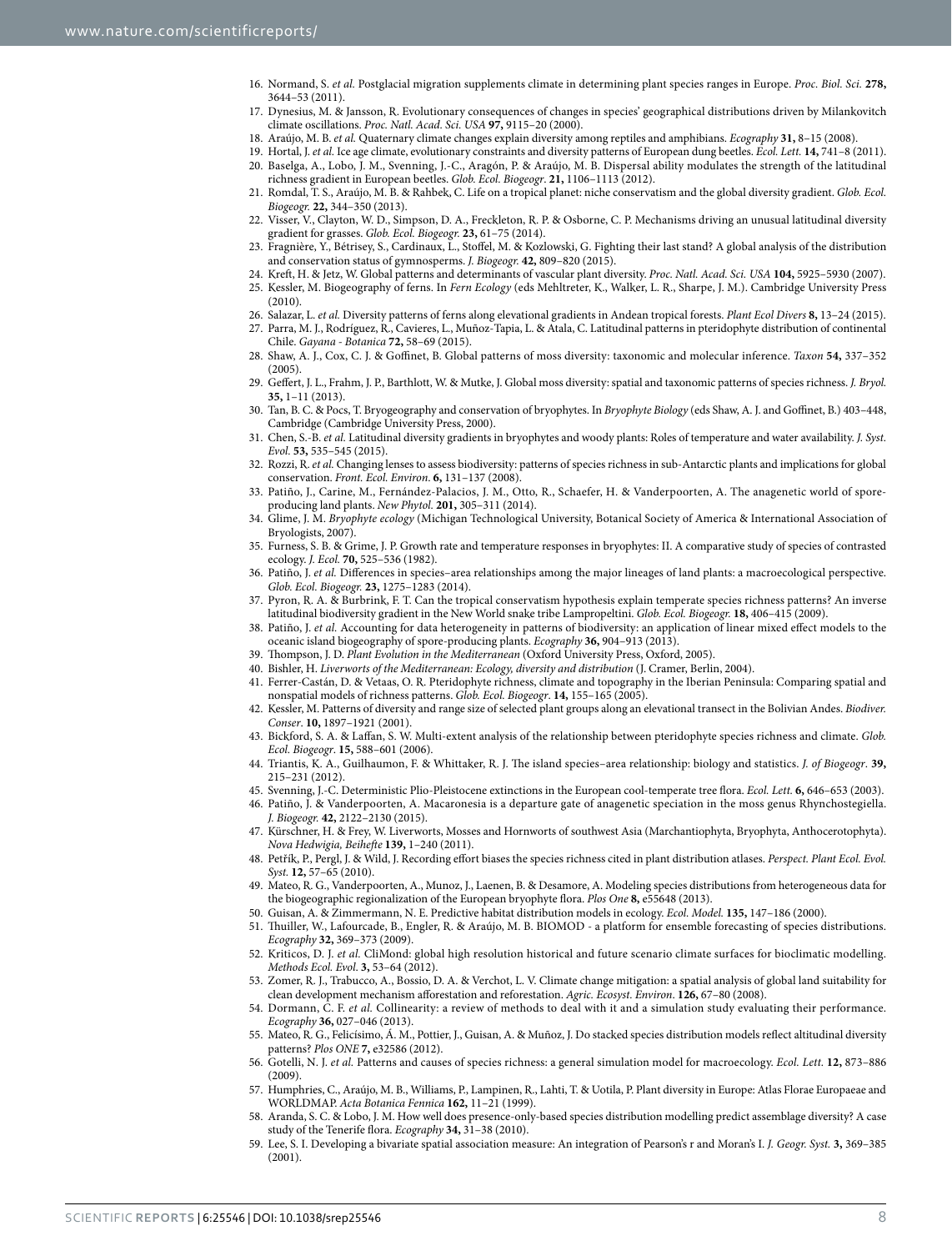- <span id="page-7-0"></span>16. Normand, S. *et al.* Postglacial migration supplements climate in determining plant species ranges in Europe. *Proc. Biol. Sci.* **278,** 3644–53 (2011).
- <span id="page-7-1"></span>17. Dynesius, M. & Jansson, R. Evolutionary consequences of changes in species' geographical distributions driven by Milankovitch climate oscillations. *Proc. Natl. Acad. Sci. USA* **97,** 9115–20 (2000).
- <span id="page-7-3"></span><span id="page-7-2"></span>18. Araújo, M. B. *et al.* Quaternary climate changes explain diversity among reptiles and amphibians. *Ecography* **31,** 8–15 (2008).
- <span id="page-7-4"></span>19. Hortal, J. *et al.* Ice age climate, evolutionary constraints and diversity patterns of European dung beetles. *Ecol. Lett.* **14,** 741–8 (2011). 20. Baselga, A., Lobo, J. M., Svenning, J.-C., Aragón, P. & Araújo, M. B. Dispersal ability modulates the strength of the latitudinal richness gradient in European beetles. *Glob. Ecol. Biogeogr*. **21,** 1106–1113 (2012).
- <span id="page-7-5"></span>21. Romdal, T. S., Araújo, M. B. & Rahbek, C. Life on a tropical planet: niche conservatism and the global diversity gradient. *Glob. Ecol. Biogeogr.* **22,** 344–350 (2013).
- <span id="page-7-6"></span>22. Visser, V., Clayton, W. D., Simpson, D. A., Freckleton, R. P. & Osborne, C. P. Mechanisms driving an unusual latitudinal diversity gradient for grasses. *Glob. Ecol. Biogeogr.* **23,** 61–75 (2014).
- <span id="page-7-7"></span>23. Fragnière, Y., Bétrisey, S., Cardinaux, L., Stoffel, M. & Kozlowski, G. Fighting their last stand? A global analysis of the distribution and conservation status of gymnosperms. *J. Biogeogr.* **42,** 809–820 (2015).
- <span id="page-7-8"></span>24. Kreft, H. & Jetz, W. Global patterns and determinants of vascular plant diversity. *Proc. Natl. Acad. Sci. USA* **104,** 5925–5930 (2007).
- <span id="page-7-9"></span>25. Kessler, M. Biogeography of ferns. In *Fern Ecology* (eds Mehltreter, K., Walker, L. R., Sharpe, J. M.). Cambridge University Press  $(2010)$
- <span id="page-7-11"></span><span id="page-7-10"></span>26. Salazar, L. *et al.* Diversity patterns of ferns along elevational gradients in Andean tropical forests. *Plant Ecol Divers* **8,** 13–24 (2015). 27. Parra, M. J., Rodríguez, R., Cavieres, L., Muñoz-Tapia, L. & Atala, C. Latitudinal patterns in pteridophyte distribution of continental
- <span id="page-7-12"></span>Chile. *Gayana - Botanica* **72,** 58–69 (2015). 28. Shaw, A. J., Cox, C. J. & Goffinet, B. Global patterns of moss diversity: taxonomic and molecular inference. *Taxon* **54,** 337–352 (2005).
- <span id="page-7-19"></span>29. Geffert, J. L., Frahm, J. P., Barthlott, W. & Mutke, J. Global moss diversity: spatial and taxonomic patterns of species richness. *J. Bryol.* **35,** 1–11 (2013).
- 30. Tan, B. C. & Pocs, T. Bryogeography and conservation of bryophytes. In *Bryophyte Biology* (eds Shaw, A. J. and Goffinet, B.) 403–448, Cambridge (Cambridge University Press, 2000).
- 31. Chen, S.-B. *et al.* Latitudinal diversity gradients in bryophytes and woody plants: Roles of temperature and water availability. *J. Syst. Evol.* **53,** 535–545 (2015).
- <span id="page-7-13"></span>32. Rozzi, R. *et al.* Changing lenses to assess biodiversity: patterns of species richness in sub-Antarctic plants and implications for global conservation. *Front. Ecol. Environ*. **6,** 131–137 (2008).
- <span id="page-7-14"></span>33. Patiño, J., Carine, M., Fernández-Palacios, J. M., Otto, R., Schaefer, H. & Vanderpoorten, A. The anagenetic world of sporeproducing land plants. *New Phytol.* **201,** 305–311 (2014).
- <span id="page-7-15"></span>34. Glime, J. M. *Bryophyte ecology* (Michigan Technological University, Botanical Society of America & International Association of Bryologists, 2007).
- <span id="page-7-16"></span>35. Furness, S. B. & Grime, J. P. Growth rate and temperature responses in bryophytes: II. A comparative study of species of contrasted ecology. *J. Ecol.* **70,** 525–536 (1982).
- <span id="page-7-17"></span>36. Patiño, J. *et al.* Differences in species–area relationships among the major lineages of land plants: a macroecological perspective. *Glob. Ecol. Biogeogr.* **23,** 1275–1283 (2014).
- <span id="page-7-18"></span>37. Pyron, R. A. & Burbrink, F. T. Can the tropical conservatism hypothesis explain temperate species richness patterns? An inverse latitudinal biodiversity gradient in the New World snake tribe Lampropeltini. *Glob. Ecol. Biogeogr.* **18,** 406–415 (2009).
- <span id="page-7-20"></span>38. Patiño, J. *et al.* Accounting for data heterogeneity in patterns of biodiversity: an application of linear mixed effect models to the oceanic island biogeography of spore-producing plants. *Ecography* **36,** 904–913 (2013).
- <span id="page-7-21"></span>39. Thompson, J. D. *Plant Evolution in the Mediterranean* (Oxford University Press, Oxford, 2005).
- <span id="page-7-22"></span>40. Bishler, H. *Liverworts of the Mediterranean: Ecology, diversity and distribution* (J. Cramer, Berlin, 2004).
- <span id="page-7-23"></span>41. Ferrer-Castán, D. & Vetaas, O. R. Pteridophyte richness, climate and topography in the Iberian Peninsula: Comparing spatial and nonspatial models of richness patterns. *Glob. Ecol. Biogeogr*. **14,** 155–165 (2005).
- 42. Kessler, M. Patterns of diversity and range size of selected plant groups along an elevational transect in the Bolivian Andes. *Biodiver. Conser*. **10,** 1897–1921 (2001).
- 43. Bickford, S. A. & Laffan, S. W. Multi-extent analysis of the relationship between pteridophyte species richness and climate. *Glob. Ecol. Biogeogr*. **15,** 588–601 (2006).
- <span id="page-7-24"></span>44. Triantis, K. A., Guilhaumon, F. & Whittaker, R. J. The island species–area relationship: biology and statistics. *J. of Biogeogr*. **39,** 215–231 (2012).
- <span id="page-7-25"></span>45. Svenning, J.-C. Deterministic Plio-Pleistocene extinctions in the European cool-temperate tree flora. *Ecol. Lett.* **6,** 646–653 (2003).
- <span id="page-7-26"></span>46. Patiño, J. & Vanderpoorten, A. Macaronesia is a departure gate of anagenetic speciation in the moss genus Rhynchostegiella. *J. Biogeogr.* **42,** 2122–2130 (2015).
- <span id="page-7-27"></span>47. Kürschner, H. & Frey, W. Liverworts, Mosses and Hornworts of southwest Asia (Marchantiophyta, Bryophyta, Anthocerotophyta). *Nova Hedwigia, Beihefte* **139,** 1–240 (2011).
- <span id="page-7-28"></span>48. Petřík, P., Pergl, J. & Wild, J. Recording effort biases the species richness cited in plant distribution atlases. *Perspect. Plant Ecol. Evol. Syst.* **12,** 57–65 (2010).
- <span id="page-7-29"></span>49. Mateo, R. G., Vanderpoorten, A., Munoz, J., Laenen, B. & Desamore, A. Modeling species distributions from heterogeneous data for the biogeographic regionalization of the European bryophyte flora. *Plos One* **8,** e55648 (2013).
- <span id="page-7-30"></span>50. Guisan, A. & Zimmermann, N. E. Predictive habitat distribution models in ecology. *Ecol. Model.* **135,** 147–186 (2000).
- <span id="page-7-31"></span>51. Thuiller, W., Lafourcade, B., Engler, R. & Araújo, M. B. BIOMOD - a platform for ensemble forecasting of species distributions. *Ecography* **32,** 369–373 (2009).
- <span id="page-7-32"></span>52. Kriticos, D. J. *et al.* CliMond: global high resolution historical and future scenario climate surfaces for bioclimatic modelling. *Methods Ecol. Evol*. **3,** 53–64 (2012).
- <span id="page-7-33"></span>53. Zomer, R. J., Trabucco, A., Bossio, D. A. & Verchot, L. V. Climate change mitigation: a spatial analysis of global land suitability for clean development mechanism afforestation and reforestation. *Agric. Ecosyst. Environ*. **126,** 67–80 (2008).
- <span id="page-7-34"></span>54. Dormann, C. F. *et al.* Collinearity: a review of methods to deal with it and a simulation study evaluating their performance. *Ecography* **36,** 027–046 (2013).
- <span id="page-7-35"></span>55. Mateo, R. G., Felicísimo, Á. M., Pottier, J., Guisan, A. & Muñoz, J. Do stacked species distribution models reflect altitudinal diversity patterns? *Plos ONE* **7,** e32586 (2012).
- <span id="page-7-36"></span>56. Gotelli, N. J. *et al.* Patterns and causes of species richness: a general simulation model for macroecology. *Ecol. Lett.* **12,** 873–886  $(2009)$
- <span id="page-7-37"></span>57. Humphries, C., Araújo, M. B., Williams, P., Lampinen, R., Lahti, T. & Uotila, P. Plant diversity in Europe: Atlas Florae Europaeae and WORLDMAP. *Acta Botanica Fennica* **162,** 11–21 (1999).
- <span id="page-7-38"></span>58. Aranda, S. C. & Lobo, J. M. How well does presence-only-based species distribution modelling predict assemblage diversity? A case study of the Tenerife flora. *Ecography* **34,** 31–38 (2010).
- <span id="page-7-39"></span>59. Lee, S. I. Developing a bivariate spatial association measure: An integration of Pearson's r and Moran's I. *J. Geogr. Syst.* **3,** 369–385 (2001).